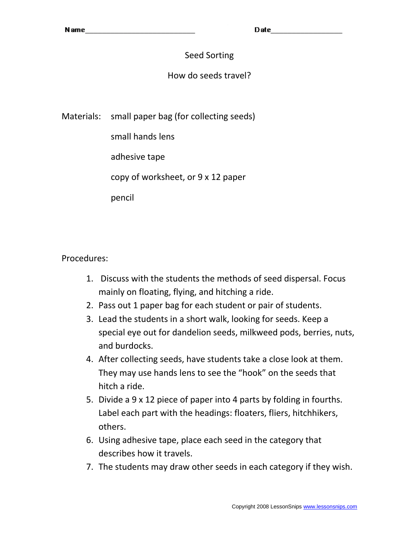Date

# Seed Sorting

# How do seeds travel?

Materials: small paper bag (for collecting seeds)

small hands lens

adhesive tape

copy of worksheet, or 9 x 12 paper

pencil

Procedures:

- 1. Discuss with the students the methods of seed dispersal. Focus mainly on floating, flying, and hitching a ride.
- 2. Pass out 1 paper bag for each student or pair of students.
- 3. Lead the students in a short walk, looking for seeds. Keep a special eye out for dandelion seeds, milkweed pods, berries, nuts, and burdocks.
- 4. After collecting seeds, have students take a close look at them. They may use hands lens to see the "hook" on the seeds that hitch a ride.
- 5. Divide a 9 x 12 piece of paper into 4 parts by folding in fourths. Label each part with the headings: floaters, fliers, hitchhikers, others.
- 6. Using adhesive tape, place each seed in the category that describes how it travels.
- 7. The students may draw other seeds in each category if they wish.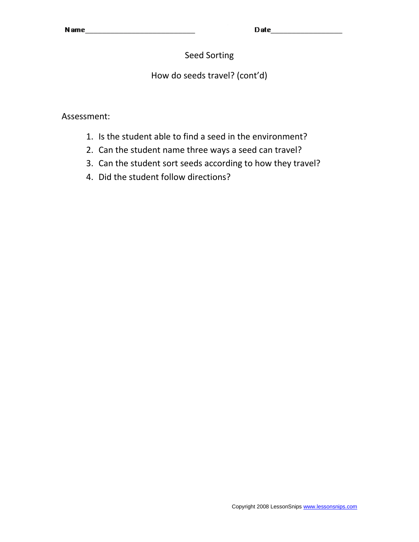Date **Date** 

# Seed Sorting

# How do seeds travel? (cont'd)

Assessment:

- 1. Is the student able to find a seed in the environment?
- 2. Can the student name three ways a seed can travel?
- 3. Can the student sort seeds according to how they travel?
- 4. Did the student follow directions?